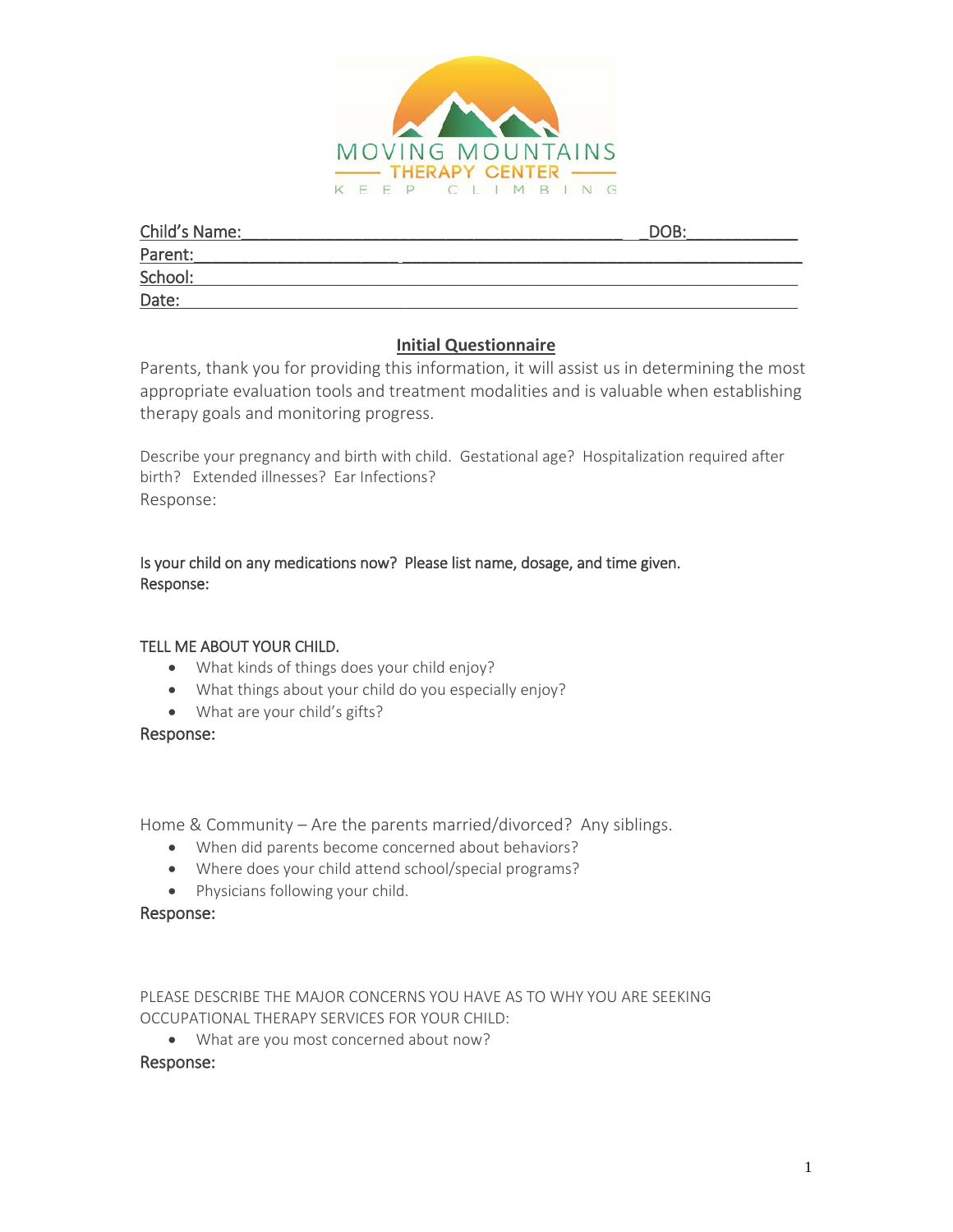

| Child's Name: | DOB: |
|---------------|------|
| Parent:       |      |
| School:       |      |
| Date:         |      |

# **Initial Questionnaire**

Parents, thank you for providing this information, it will assist us in determining the most appropriate evaluation tools and treatment modalities and is valuable when establishing therapy goals and monitoring progress.

Describe your pregnancy and birth with child. Gestational age? Hospitalization required after birth? Extended illnesses? Ear Infections? Response:

# Is your child on any medications now? Please list name, dosage, and time given. Response:

# TELL ME ABOUT YOUR CHILD.

- What kinds of things does your child enjoy?
- What things about your child do you especially enjoy?
- What are your child's gifts?

# Response:

Home & Community – Are the parents married/divorced? Any siblings.

- When did parents become concerned about behaviors?
- Where does your child attend school/special programs?
- Physicians following your child.

# Response:

PLEASE DESCRIBE THE MAJOR CONCERNS YOU HAVE AS TO WHY YOU ARE SEEKING OCCUPATIONAL THERAPY SERVICES FOR YOUR CHILD:

• What are you most concerned about now?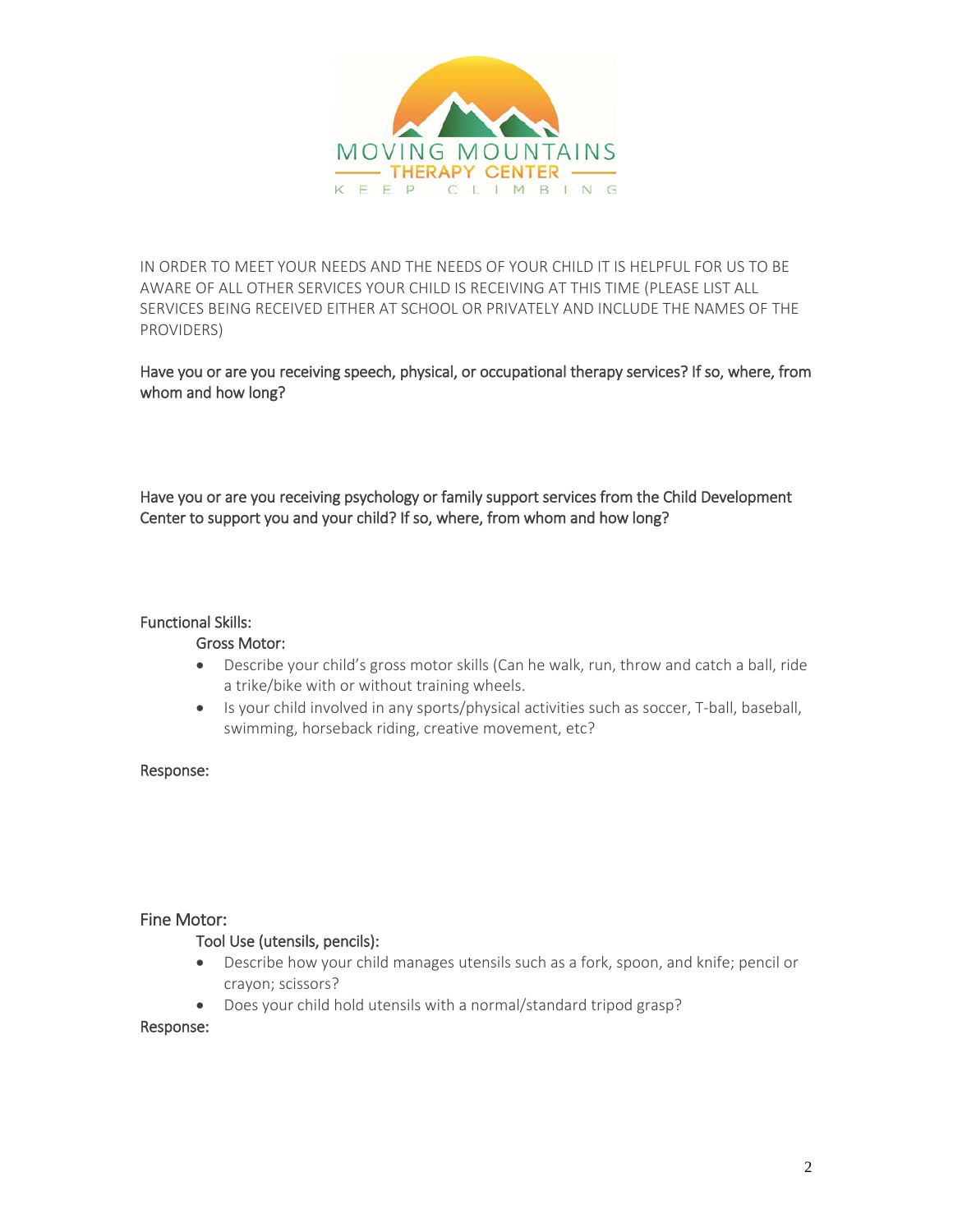

IN ORDER TO MEET YOUR NEEDS AND THE NEEDS OF YOUR CHILD IT IS HELPFUL FOR US TO BE AWARE OF ALL OTHER SERVICES YOUR CHILD IS RECEIVING AT THIS TIME (PLEASE LIST ALL SERVICES BEING RECEIVED EITHER AT SCHOOL OR PRIVATELY AND INCLUDE THE NAMES OF THE PROVIDERS)

Have you or are you receiving speech, physical, or occupational therapy services? If so, where, from whom and how long?

Have you or are you receiving psychology or family support services from the Child Development Center to support you and your child? If so, where, from whom and how long?

## Functional Skills:

## Gross Motor:

- Describe your child's gross motor skills (Can he walk, run, throw and catch a ball, ride a trike/bike with or without training wheels.
- Is your child involved in any sports/physical activities such as soccer, T-ball, baseball, swimming, horseback riding, creative movement, etc?

## Response:

## Fine Motor:

## Tool Use (utensils, pencils):

- Describe how your child manages utensils such as a fork, spoon, and knife; pencil or crayon; scissors?
- Does your child hold utensils with a normal/standard tripod grasp?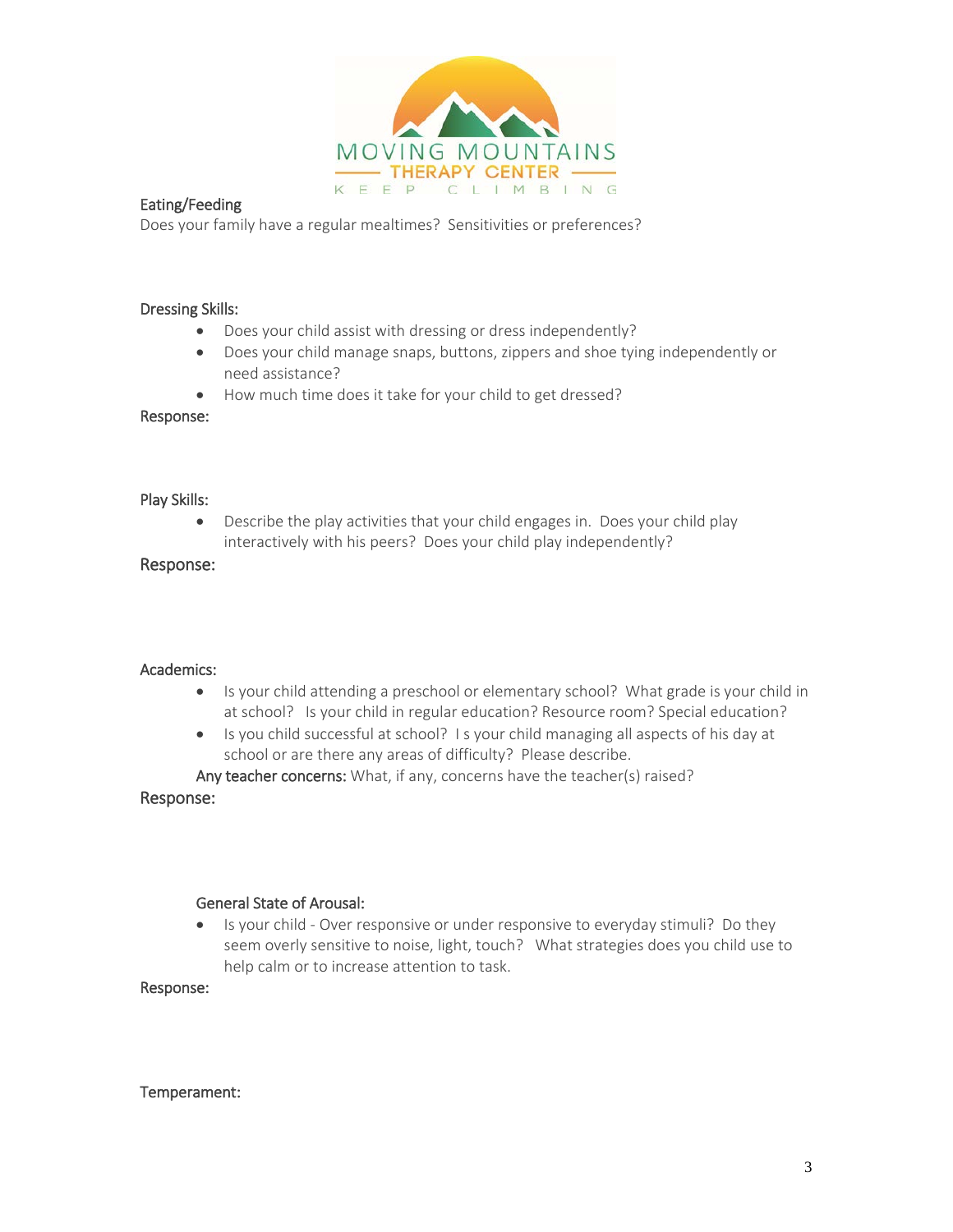

### Eating/Feeding

Does your family have a regular mealtimes? Sensitivities or preferences?

### Dressing Skills:

- Does your child assist with dressing or dress independently?
- Does your child manage snaps, buttons, zippers and shoe tying independently or need assistance?
- How much time does it take for your child to get dressed?

#### Response:

### Play Skills:

• Describe the play activities that your child engages in. Does your child play interactively with his peers? Does your child play independently?

## Response:

### Academics:

- Is your child attending a preschool or elementary school? What grade is your child in at school? Is your child in regular education? Resource room? Special education?
- Is you child successful at school? I s your child managing all aspects of his day at school or are there any areas of difficulty? Please describe.

Any teacher concerns: What, if any, concerns have the teacher(s) raised?

## Response:

## General State of Arousal:

• Is your child - Over responsive or under responsive to everyday stimuli? Do they seem overly sensitive to noise, light, touch? What strategies does you child use to help calm or to increase attention to task.

## Response:

#### Temperament: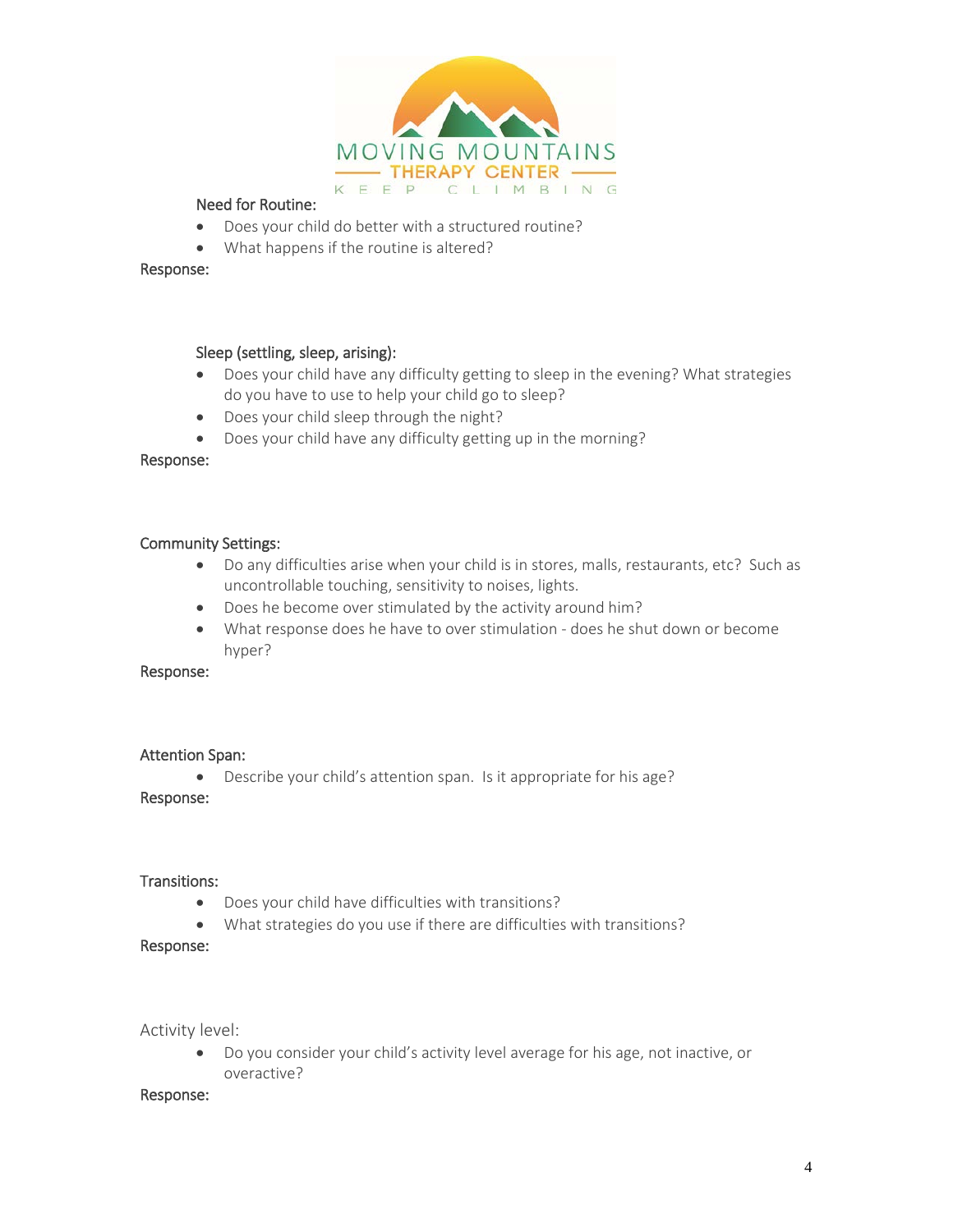

## Need for Routine:

- Does your child do better with a structured routine?
- What happens if the routine is altered?

### Response:

## Sleep (settling, sleep, arising):

- Does your child have any difficulty getting to sleep in the evening? What strategies do you have to use to help your child go to sleep?
- Does your child sleep through the night?
- Does your child have any difficulty getting up in the morning?

### Response:

## Community Settings:

- Do any difficulties arise when your child is in stores, malls, restaurants, etc? Such as uncontrollable touching, sensitivity to noises, lights.
- Does he become over stimulated by the activity around him?
- What response does he have to over stimulation does he shut down or become hyper?

### Response:

## Attention Span:

• Describe your child's attention span. Is it appropriate for his age?

## Response:

### Transitions:

- Does your child have difficulties with transitions?
- What strategies do you use if there are difficulties with transitions?

#### Response:

Activity level:

• Do you consider your child's activity level average for his age, not inactive, or overactive?